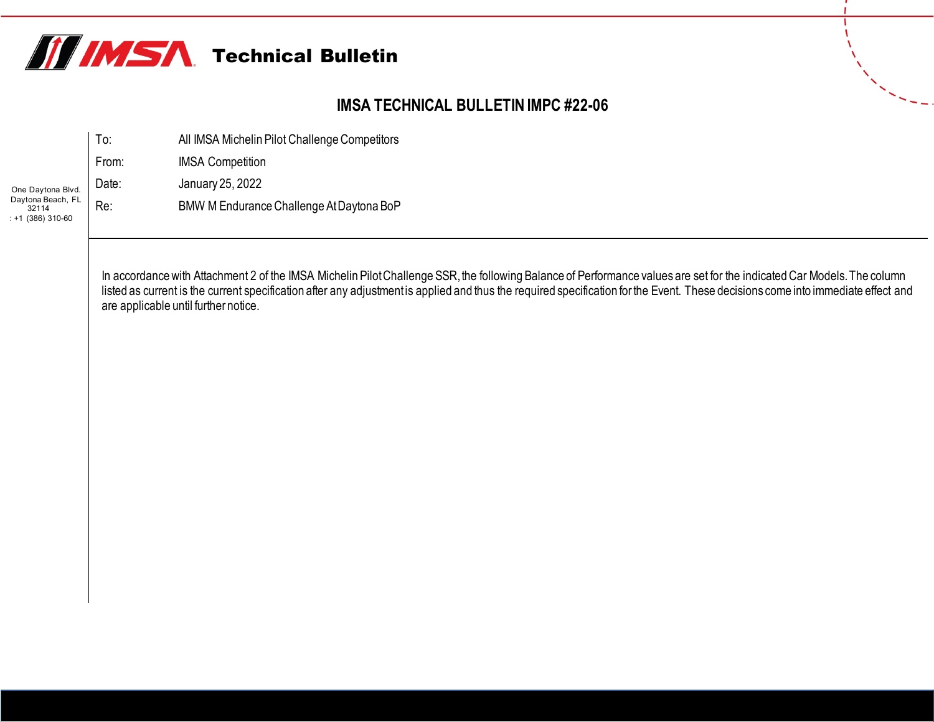

## **IMSA TECHNICAL BULLETIN IMPC #22-06**

|                                                   | To:   | All IMSA Michelin Pilot Challenge Competitors |  |  |  |  |
|---------------------------------------------------|-------|-----------------------------------------------|--|--|--|--|
|                                                   | From: | <b>IMSA Competition</b>                       |  |  |  |  |
| One Daytona Blvd.                                 | Date: | January 25, 2022                              |  |  |  |  |
| Daytona Beach, FL<br>32114<br>$: +1$ (386) 310-60 | Re:   | BMW M Endurance Challenge At Daytona BoP      |  |  |  |  |

In accordance with Attachment 2 of the IMSA Michelin Pilot Challenge SSR, the following Balance of Performance values are set for the indicated Car Models. The column listed as current is the current specification after any adjustment is applied and thus the required specification for the Event. These decisions come into immediate effect and are applicable until further notice.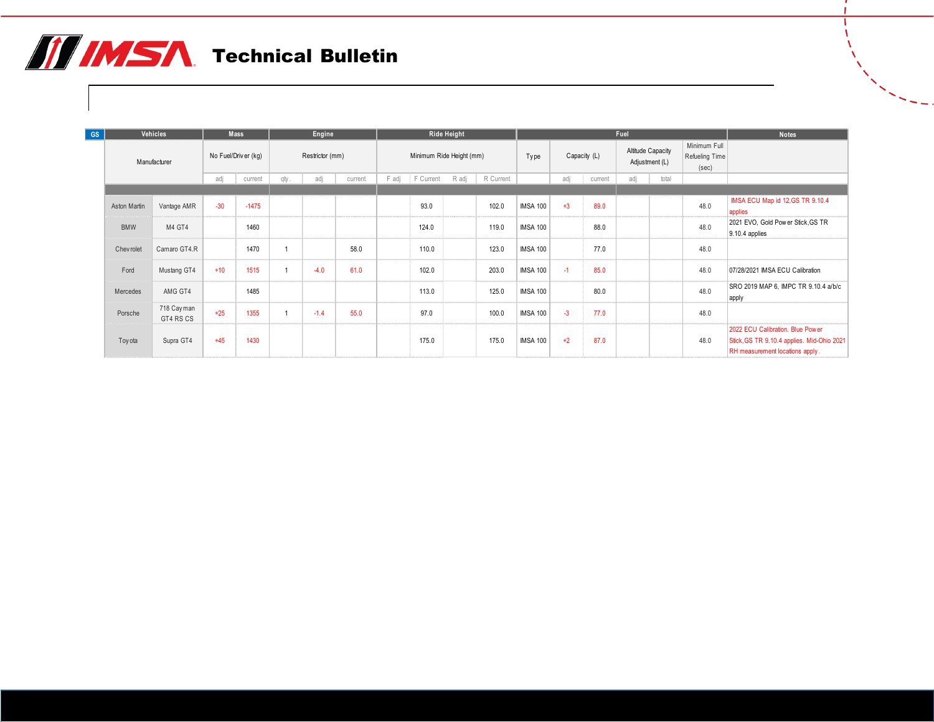## **THIMSA** Technical Bulletin

| Vehicles<br><b>GS</b> |              |                         | <b>Mass</b>         |         | Engine          |        |         | Ride Height              |           |       |                      |                 |      |                                     | Fuel |                                         |      | <b>Notes</b>                                                                                                      |
|-----------------------|--------------|-------------------------|---------------------|---------|-----------------|--------|---------|--------------------------|-----------|-------|----------------------|-----------------|------|-------------------------------------|------|-----------------------------------------|------|-------------------------------------------------------------------------------------------------------------------|
|                       | Manufacturer |                         | No Fuel/Driver (kg) |         | Restrictor (mm) |        |         | Minimum Ride Height (mm) |           |       | Capacity (L)<br>Type |                 |      | Altitude Capacity<br>Adjustment (L) |      | Minimum Full<br>Refueling Time<br>(sec) |      |                                                                                                                   |
|                       |              |                         | adj                 | current | qty.            | adj    | current | F adj                    | F Current | R adj | R Current            |                 | adj  | current                             | adj  | total                                   |      |                                                                                                                   |
|                       |              |                         |                     |         |                 |        |         |                          |           |       |                      |                 |      |                                     |      |                                         |      |                                                                                                                   |
|                       | Aston Martin | Vantage AMR             | $-30$               | $-1475$ |                 |        |         |                          | 93.0      |       | 102.0                | <b>IMSA 100</b> | $+3$ | 89.0                                |      |                                         | 48.0 | IMSA ECU Map id 12, GS TR 9.10.4<br>applies                                                                       |
|                       | <b>BMW</b>   | M4 GT4                  |                     | 1460    |                 |        |         |                          | 124.0     |       | 119.0                | <b>IMSA 100</b> |      | 88.0                                |      |                                         | 48.0 | 2021 EVO, Gold Power Stick, GS TR<br>$9.10.4$ applies                                                             |
|                       | Chev rolet   | Camaro GT4.R            |                     | 1470    |                 |        | 58.0    |                          | 110.0     |       | 123.0                | <b>IMSA 100</b> |      | 77.0                                |      |                                         | 48.0 |                                                                                                                   |
|                       | Ford         | Mustang GT4             | $+10$               | 1515    |                 | $-4.0$ | 61.0    |                          | 102.0     |       | 203.0                | <b>IMSA 100</b> | $-1$ | 85.0                                |      |                                         | 48.0 | 07/28/2021 IMSA ECU Calibration                                                                                   |
|                       | Mercedes     | AMG GT4                 |                     | 1485    |                 |        |         |                          | 113.0     |       | 125.0                | <b>IMSA 100</b> |      | 80.0                                |      |                                         | 48.0 | SRO 2019 MAP 6, IMPC TR 9.10.4 a/b/c<br>apply                                                                     |
|                       | Porsche      | 718 Cayman<br>GT4 RS CS | $+25$               | 1355    |                 | $-1.4$ | 55.0    |                          | 97.0      |       | 100.0                | <b>IMSA 100</b> | $-3$ | 77.0                                |      |                                         | 48.0 |                                                                                                                   |
|                       | Toyota       | Supra GT4               | $+45$               | 1430    |                 |        |         |                          | 175.0     |       | 175.0                | <b>IMSA 100</b> | $+2$ | 87.0                                |      |                                         | 48.0 | 2022 ECU Calibration. Blue Power<br>Stick, GS TR 9.10.4 applies. Mid-Ohio 2021<br>RH measurement locations apply. |